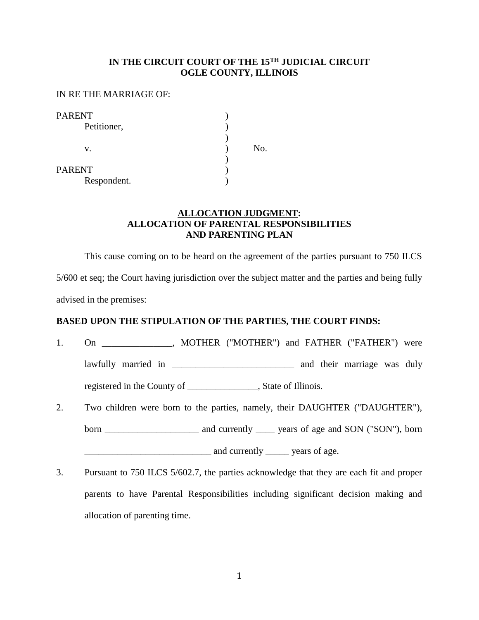# **IN THE CIRCUIT COURT OF THE 15TH JUDICIAL CIRCUIT OGLE COUNTY, ILLINOIS**

# IN RE THE MARRIAGE OF:

| <b>PARENT</b> |     |
|---------------|-----|
| Petitioner,   |     |
|               |     |
| V.            | Nο. |
|               |     |
| <b>PARENT</b> |     |
| Respondent.   |     |

# **ALLOCATION JUDGMENT: ALLOCATION OF PARENTAL RESPONSIBILITIES AND PARENTING PLAN**

This cause coming on to be heard on the agreement of the parties pursuant to 750 ILCS 5/600 et seq; the Court having jurisdiction over the subject matter and the parties and being fully advised in the premises:

# **BASED UPON THE STIPULATION OF THE PARTIES, THE COURT FINDS:**

- 1. On \_\_\_\_\_\_\_\_\_\_\_\_\_, MOTHER ("MOTHER") and FATHER ("FATHER") were lawfully married in \_\_\_\_\_\_\_\_\_\_\_\_\_\_\_\_\_\_\_\_\_\_\_\_\_\_ and their marriage was duly registered in the County of \_\_\_\_\_\_\_\_\_\_\_\_\_\_\_, State of Illinois.
- 2. Two children were born to the parties, namely, their DAUGHTER ("DAUGHTER"), born \_\_\_\_\_\_\_\_\_\_\_\_\_\_\_\_\_\_\_ and currently \_\_\_\_\_\_ years of age and SON ("SON"), born \_\_\_\_\_\_\_\_\_\_\_\_\_\_\_\_\_\_\_\_\_\_\_\_\_\_\_ and currently \_\_\_\_\_ years of age.
- 3. Pursuant to 750 ILCS 5/602.7, the parties acknowledge that they are each fit and proper parents to have Parental Responsibilities including significant decision making and allocation of parenting time.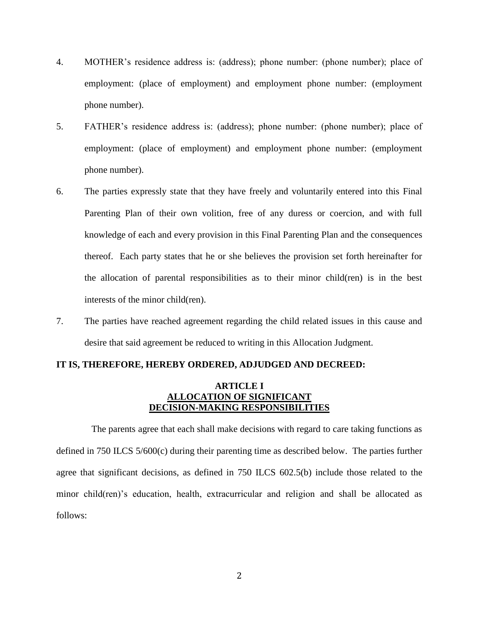- 4. MOTHER's residence address is: (address); phone number: (phone number); place of employment: (place of employment) and employment phone number: (employment phone number).
- 5. FATHER's residence address is: (address); phone number: (phone number); place of employment: (place of employment) and employment phone number: (employment phone number).
- 6. The parties expressly state that they have freely and voluntarily entered into this Final Parenting Plan of their own volition, free of any duress or coercion, and with full knowledge of each and every provision in this Final Parenting Plan and the consequences thereof. Each party states that he or she believes the provision set forth hereinafter for the allocation of parental responsibilities as to their minor child(ren) is in the best interests of the minor child(ren).
- 7. The parties have reached agreement regarding the child related issues in this cause and desire that said agreement be reduced to writing in this Allocation Judgment.

# **IT IS, THEREFORE, HEREBY ORDERED, ADJUDGED AND DECREED:**

# **ARTICLE I ALLOCATION OF SIGNIFICANT DECISION-MAKING RESPONSIBILITIES**

 The parents agree that each shall make decisions with regard to care taking functions as defined in 750 ILCS 5/600(c) during their parenting time as described below. The parties further agree that significant decisions, as defined in 750 ILCS 602.5(b) include those related to the minor child(ren)'s education, health, extracurricular and religion and shall be allocated as follows: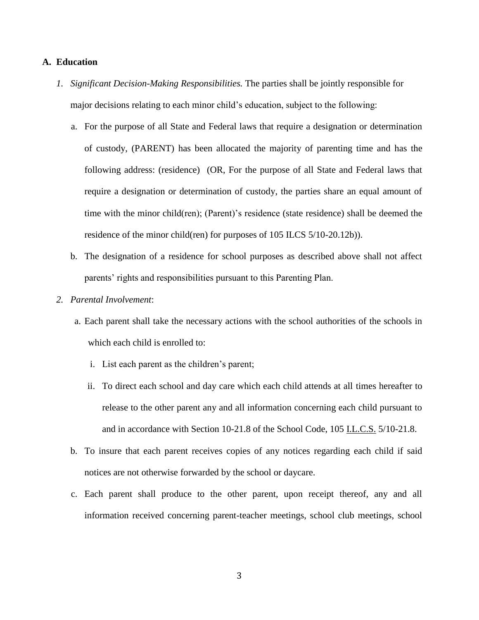# **A. Education**

- *1. Significant Decision-Making Responsibilities.* The parties shall be jointly responsible for major decisions relating to each minor child's education, subject to the following:
	- a. For the purpose of all State and Federal laws that require a designation or determination of custody, (PARENT) has been allocated the majority of parenting time and has the following address: (residence) (OR, For the purpose of all State and Federal laws that require a designation or determination of custody, the parties share an equal amount of time with the minor child(ren); (Parent)'s residence (state residence) shall be deemed the residence of the minor child(ren) for purposes of 105 ILCS 5/10-20.12b)).
	- b. The designation of a residence for school purposes as described above shall not affect parents' rights and responsibilities pursuant to this Parenting Plan.
- *2. Parental Involvement*:
	- a. Each parent shall take the necessary actions with the school authorities of the schools in which each child is enrolled to:
		- i. List each parent as the children's parent;
		- ii. To direct each school and day care which each child attends at all times hereafter to release to the other parent any and all information concerning each child pursuant to and in accordance with Section 10-21.8 of the School Code, 105 I.L.C.S. 5/10-21.8.
	- b. To insure that each parent receives copies of any notices regarding each child if said notices are not otherwise forwarded by the school or daycare.
	- c. Each parent shall produce to the other parent, upon receipt thereof, any and all information received concerning parent-teacher meetings, school club meetings, school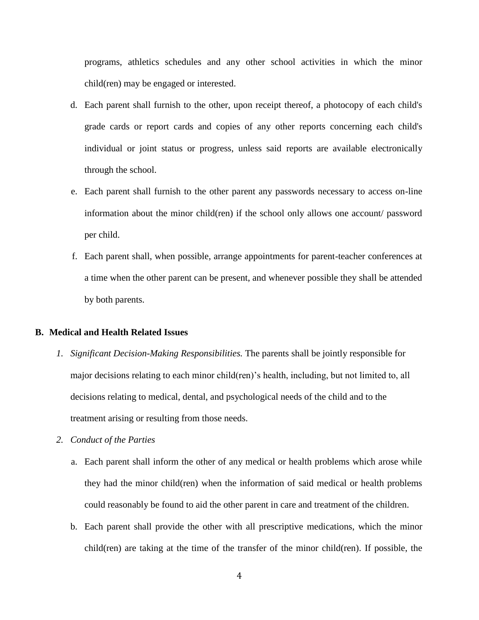programs, athletics schedules and any other school activities in which the minor child(ren) may be engaged or interested.

- d. Each parent shall furnish to the other, upon receipt thereof, a photocopy of each child's grade cards or report cards and copies of any other reports concerning each child's individual or joint status or progress, unless said reports are available electronically through the school.
- e. Each parent shall furnish to the other parent any passwords necessary to access on-line information about the minor child(ren) if the school only allows one account/ password per child.
- f. Each parent shall, when possible, arrange appointments for parent-teacher conferences at a time when the other parent can be present, and whenever possible they shall be attended by both parents.

# **B. Medical and Health Related Issues**

- *1. Significant Decision-Making Responsibilities.* The parents shall be jointly responsible for major decisions relating to each minor child(ren)'s health, including, but not limited to, all decisions relating to medical, dental, and psychological needs of the child and to the treatment arising or resulting from those needs.
- *2. Conduct of the Parties*
	- a. Each parent shall inform the other of any medical or health problems which arose while they had the minor child(ren) when the information of said medical or health problems could reasonably be found to aid the other parent in care and treatment of the children.
	- b. Each parent shall provide the other with all prescriptive medications, which the minor child(ren) are taking at the time of the transfer of the minor child(ren). If possible, the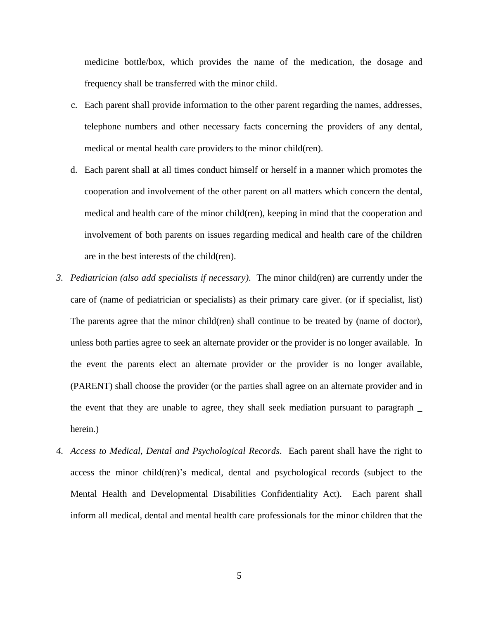medicine bottle/box, which provides the name of the medication, the dosage and frequency shall be transferred with the minor child.

- c. Each parent shall provide information to the other parent regarding the names, addresses, telephone numbers and other necessary facts concerning the providers of any dental, medical or mental health care providers to the minor child(ren).
- d. Each parent shall at all times conduct himself or herself in a manner which promotes the cooperation and involvement of the other parent on all matters which concern the dental, medical and health care of the minor child(ren), keeping in mind that the cooperation and involvement of both parents on issues regarding medical and health care of the children are in the best interests of the child(ren).
- *3. Pediatrician (also add specialists if necessary)*. The minor child(ren) are currently under the care of (name of pediatrician or specialists) as their primary care giver. (or if specialist, list) The parents agree that the minor child(ren) shall continue to be treated by (name of doctor), unless both parties agree to seek an alternate provider or the provider is no longer available. In the event the parents elect an alternate provider or the provider is no longer available, (PARENT) shall choose the provider (or the parties shall agree on an alternate provider and in the event that they are unable to agree, they shall seek mediation pursuant to paragraph \_ herein.)
- *4. Access to Medical, Dental and Psychological Records*. Each parent shall have the right to access the minor child(ren)'s medical, dental and psychological records (subject to the Mental Health and Developmental Disabilities Confidentiality Act). Each parent shall inform all medical, dental and mental health care professionals for the minor children that the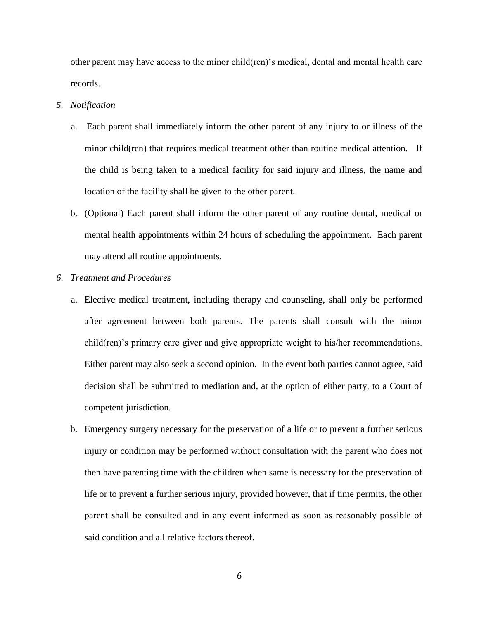other parent may have access to the minor child(ren)'s medical, dental and mental health care records.

- *5. Notification*
	- a. Each parent shall immediately inform the other parent of any injury to or illness of the minor child(ren) that requires medical treatment other than routine medical attention. If the child is being taken to a medical facility for said injury and illness, the name and location of the facility shall be given to the other parent.
	- b. (Optional) Each parent shall inform the other parent of any routine dental, medical or mental health appointments within 24 hours of scheduling the appointment. Each parent may attend all routine appointments.
- *6. Treatment and Procedures*
	- a. Elective medical treatment, including therapy and counseling, shall only be performed after agreement between both parents. The parents shall consult with the minor child(ren)'s primary care giver and give appropriate weight to his/her recommendations. Either parent may also seek a second opinion. In the event both parties cannot agree, said decision shall be submitted to mediation and, at the option of either party, to a Court of competent jurisdiction.
	- b. Emergency surgery necessary for the preservation of a life or to prevent a further serious injury or condition may be performed without consultation with the parent who does not then have parenting time with the children when same is necessary for the preservation of life or to prevent a further serious injury, provided however, that if time permits, the other parent shall be consulted and in any event informed as soon as reasonably possible of said condition and all relative factors thereof.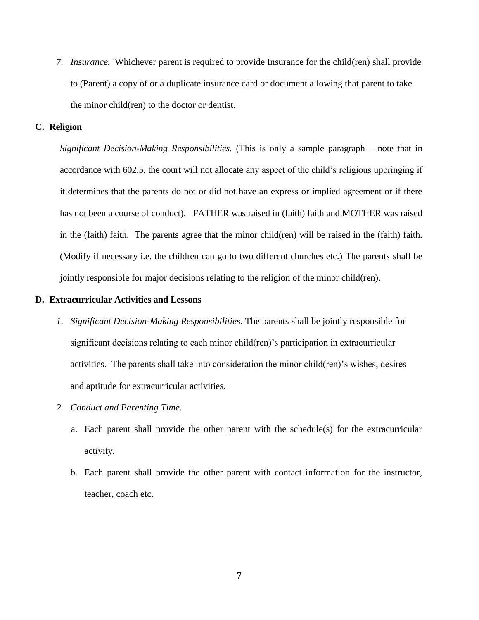*7. Insurance.* Whichever parent is required to provide Insurance for the child(ren) shall provide to (Parent) a copy of or a duplicate insurance card or document allowing that parent to take the minor child(ren) to the doctor or dentist.

## **C. Religion**

*Significant Decision-Making Responsibilities.* (This is only a sample paragraph – note that in accordance with 602.5, the court will not allocate any aspect of the child's religious upbringing if it determines that the parents do not or did not have an express or implied agreement or if there has not been a course of conduct). FATHER was raised in (faith) faith and MOTHER was raised in the (faith) faith. The parents agree that the minor child(ren) will be raised in the (faith) faith. (Modify if necessary i.e. the children can go to two different churches etc.) The parents shall be jointly responsible for major decisions relating to the religion of the minor child(ren).

#### **D. Extracurricular Activities and Lessons**

- *1. Significant Decision-Making Responsibilities*. The parents shall be jointly responsible for significant decisions relating to each minor child(ren)'s participation in extracurricular activities. The parents shall take into consideration the minor child(ren)'s wishes, desires and aptitude for extracurricular activities.
- *2. Conduct and Parenting Time.* 
	- a. Each parent shall provide the other parent with the schedule(s) for the extracurricular activity.
	- b. Each parent shall provide the other parent with contact information for the instructor, teacher, coach etc.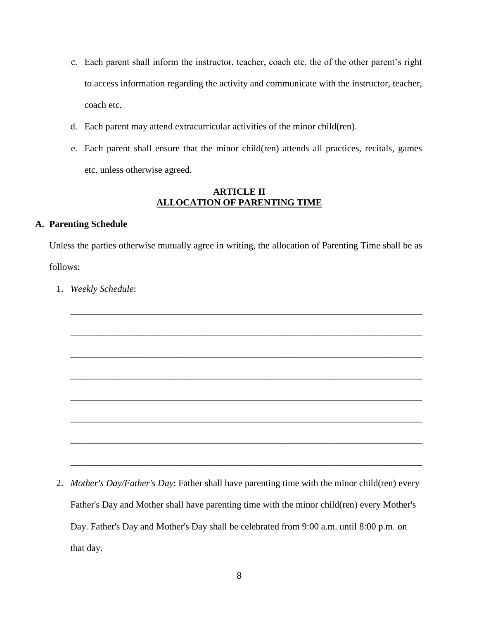- c. Each parent shall inform the instructor, teacher, coach etc. the of the other parent's right to access information regarding the activity and communicate with the instructor, teacher, coach etc.
- d. Each parent may attend extracurricular activities of the minor child(ren).
- e. Each parent shall ensure that the minor child(ren) attends all practices, recitals, games etc. unless otherwise agreed.

# **ARTICLE II ALLOCATION OF PARENTING TIME**

# **A. Parenting Schedule**

Unless the parties otherwise mutually agree in writing, the allocation of Parenting Time shall be as follows:

\_\_\_\_\_\_\_\_\_\_\_\_\_\_\_\_\_\_\_\_\_\_\_\_\_\_\_\_\_\_\_\_\_\_\_\_\_\_\_\_\_\_\_\_\_\_\_\_\_\_\_\_\_\_\_\_\_\_\_\_\_\_\_\_\_\_\_\_\_\_\_\_\_\_\_

\_\_\_\_\_\_\_\_\_\_\_\_\_\_\_\_\_\_\_\_\_\_\_\_\_\_\_\_\_\_\_\_\_\_\_\_\_\_\_\_\_\_\_\_\_\_\_\_\_\_\_\_\_\_\_\_\_\_\_\_\_\_\_\_\_\_\_\_\_\_\_\_\_\_\_

\_\_\_\_\_\_\_\_\_\_\_\_\_\_\_\_\_\_\_\_\_\_\_\_\_\_\_\_\_\_\_\_\_\_\_\_\_\_\_\_\_\_\_\_\_\_\_\_\_\_\_\_\_\_\_\_\_\_\_\_\_\_\_\_\_\_\_\_\_\_\_\_\_\_\_

\_\_\_\_\_\_\_\_\_\_\_\_\_\_\_\_\_\_\_\_\_\_\_\_\_\_\_\_\_\_\_\_\_\_\_\_\_\_\_\_\_\_\_\_\_\_\_\_\_\_\_\_\_\_\_\_\_\_\_\_\_\_\_\_\_\_\_\_\_\_\_\_\_\_\_

\_\_\_\_\_\_\_\_\_\_\_\_\_\_\_\_\_\_\_\_\_\_\_\_\_\_\_\_\_\_\_\_\_\_\_\_\_\_\_\_\_\_\_\_\_\_\_\_\_\_\_\_\_\_\_\_\_\_\_\_\_\_\_\_\_\_\_\_\_\_\_\_\_\_\_

\_\_\_\_\_\_\_\_\_\_\_\_\_\_\_\_\_\_\_\_\_\_\_\_\_\_\_\_\_\_\_\_\_\_\_\_\_\_\_\_\_\_\_\_\_\_\_\_\_\_\_\_\_\_\_\_\_\_\_\_\_\_\_\_\_\_\_\_\_\_\_\_\_\_\_

\_\_\_\_\_\_\_\_\_\_\_\_\_\_\_\_\_\_\_\_\_\_\_\_\_\_\_\_\_\_\_\_\_\_\_\_\_\_\_\_\_\_\_\_\_\_\_\_\_\_\_\_\_\_\_\_\_\_\_\_\_\_\_\_\_\_\_\_\_\_\_\_\_\_\_

\_\_\_\_\_\_\_\_\_\_\_\_\_\_\_\_\_\_\_\_\_\_\_\_\_\_\_\_\_\_\_\_\_\_\_\_\_\_\_\_\_\_\_\_\_\_\_\_\_\_\_\_\_\_\_\_\_\_\_\_\_\_\_\_\_\_\_\_\_\_\_\_\_\_\_

1. *Weekly Schedule*:

2. *Mother's Day/Father's Day*: Father shall have parenting time with the minor child(ren) every Father's Day and Mother shall have parenting time with the minor child(ren) every Mother's Day. Father's Day and Mother's Day shall be celebrated from 9:00 a.m. until 8:00 p.m. on that day.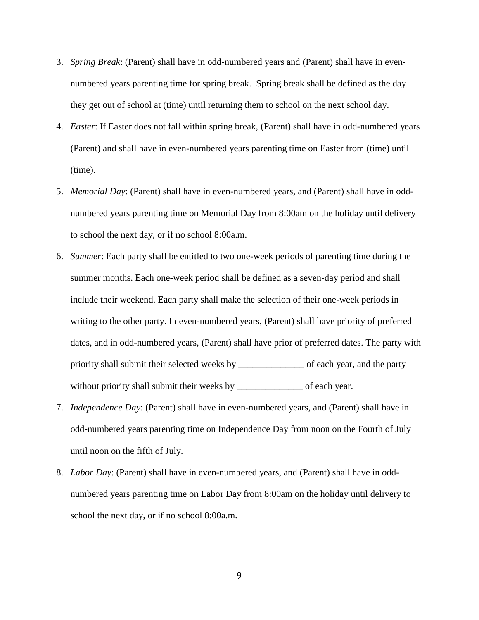- 3. *Spring Break*: (Parent) shall have in odd-numbered years and (Parent) shall have in evennumbered years parenting time for spring break. Spring break shall be defined as the day they get out of school at (time) until returning them to school on the next school day.
- 4. *Easter*: If Easter does not fall within spring break, (Parent) shall have in odd-numbered years (Parent) and shall have in even-numbered years parenting time on Easter from (time) until (time).
- 5. *Memorial Day*: (Parent) shall have in even-numbered years, and (Parent) shall have in oddnumbered years parenting time on Memorial Day from 8:00am on the holiday until delivery to school the next day, or if no school 8:00a.m.
- 6. *Summer*: Each party shall be entitled to two one-week periods of parenting time during the summer months. Each one-week period shall be defined as a seven-day period and shall include their weekend. Each party shall make the selection of their one-week periods in writing to the other party. In even-numbered years, (Parent) shall have priority of preferred dates, and in odd-numbered years, (Parent) shall have prior of preferred dates. The party with priority shall submit their selected weeks by \_\_\_\_\_\_\_\_\_\_\_\_\_\_ of each year, and the party without priority shall submit their weeks by \_\_\_\_\_\_\_\_\_\_\_\_\_\_\_\_ of each year.
- 7. *Independence Day*: (Parent) shall have in even-numbered years, and (Parent) shall have in odd-numbered years parenting time on Independence Day from noon on the Fourth of July until noon on the fifth of July.
- 8. *Labor Day*: (Parent) shall have in even-numbered years, and (Parent) shall have in oddnumbered years parenting time on Labor Day from 8:00am on the holiday until delivery to school the next day, or if no school 8:00a.m.

9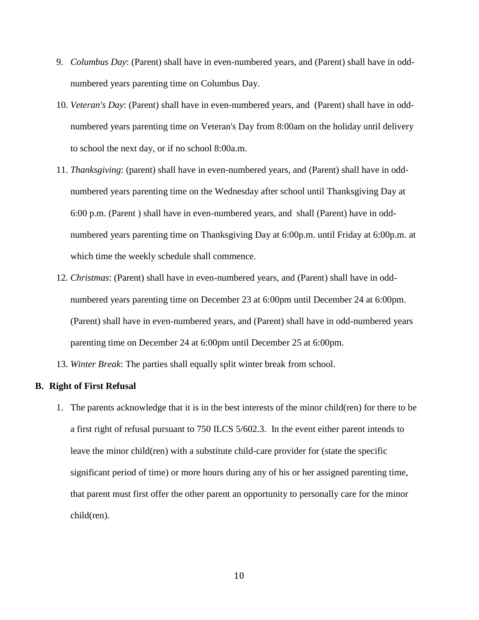- 9. *Columbus Day*: (Parent) shall have in even-numbered years, and (Parent) shall have in oddnumbered years parenting time on Columbus Day.
- 10. *Veteran's Day*: (Parent) shall have in even-numbered years, and (Parent) shall have in oddnumbered years parenting time on Veteran's Day from 8:00am on the holiday until delivery to school the next day, or if no school 8:00a.m.
- 11. *Thanksgiving*: (parent) shall have in even-numbered years, and (Parent) shall have in oddnumbered years parenting time on the Wednesday after school until Thanksgiving Day at 6:00 p.m. (Parent ) shall have in even-numbered years, and shall (Parent) have in oddnumbered years parenting time on Thanksgiving Day at 6:00p.m. until Friday at 6:00p.m. at which time the weekly schedule shall commence.
- 12. *Christmas*: (Parent) shall have in even-numbered years, and (Parent) shall have in oddnumbered years parenting time on December 23 at 6:00pm until December 24 at 6:00pm. (Parent) shall have in even-numbered years, and (Parent) shall have in odd-numbered years parenting time on December 24 at 6:00pm until December 25 at 6:00pm.
- 13. *Winter Break*: The parties shall equally split winter break from school.

## **B. Right of First Refusal**

1. The parents acknowledge that it is in the best interests of the minor child(ren) for there to be a first right of refusal pursuant to 750 ILCS 5/602.3. In the event either parent intends to leave the minor child(ren) with a substitute child-care provider for (state the specific significant period of time) or more hours during any of his or her assigned parenting time, that parent must first offer the other parent an opportunity to personally care for the minor child(ren).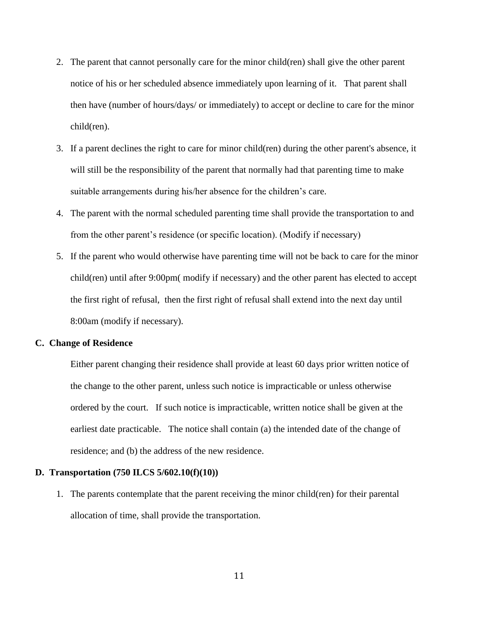- 2. The parent that cannot personally care for the minor child(ren) shall give the other parent notice of his or her scheduled absence immediately upon learning of it. That parent shall then have (number of hours/days/ or immediately) to accept or decline to care for the minor child(ren).
- 3. If a parent declines the right to care for minor child(ren) during the other parent's absence, it will still be the responsibility of the parent that normally had that parenting time to make suitable arrangements during his/her absence for the children's care.
- 4. The parent with the normal scheduled parenting time shall provide the transportation to and from the other parent's residence (or specific location). (Modify if necessary)
- 5. If the parent who would otherwise have parenting time will not be back to care for the minor child(ren) until after 9:00pm( modify if necessary) and the other parent has elected to accept the first right of refusal, then the first right of refusal shall extend into the next day until 8:00am (modify if necessary).

#### **C. Change of Residence**

Either parent changing their residence shall provide at least 60 days prior written notice of the change to the other parent, unless such notice is impracticable or unless otherwise ordered by the court. If such notice is impracticable, written notice shall be given at the earliest date practicable. The notice shall contain (a) the intended date of the change of residence; and (b) the address of the new residence.

## **D. Transportation (750 ILCS 5/602.10(f)(10))**

1. The parents contemplate that the parent receiving the minor child(ren) for their parental allocation of time, shall provide the transportation.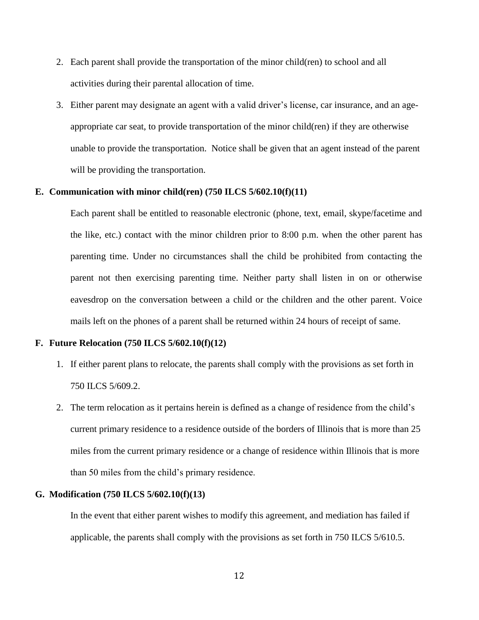- 2. Each parent shall provide the transportation of the minor child(ren) to school and all activities during their parental allocation of time.
- 3. Either parent may designate an agent with a valid driver's license, car insurance, and an ageappropriate car seat, to provide transportation of the minor child(ren) if they are otherwise unable to provide the transportation. Notice shall be given that an agent instead of the parent will be providing the transportation.

# **E. Communication with minor child(ren) (750 ILCS 5/602.10(f)(11)**

Each parent shall be entitled to reasonable electronic (phone, text, email, skype/facetime and the like, etc.) contact with the minor children prior to 8:00 p.m. when the other parent has parenting time. Under no circumstances shall the child be prohibited from contacting the parent not then exercising parenting time. Neither party shall listen in on or otherwise eavesdrop on the conversation between a child or the children and the other parent. Voice mails left on the phones of a parent shall be returned within 24 hours of receipt of same.

# **F. Future Relocation (750 ILCS 5/602.10(f)(12)**

- 1. If either parent plans to relocate, the parents shall comply with the provisions as set forth in 750 ILCS 5/609.2.
- 2. The term relocation as it pertains herein is defined as a change of residence from the child's current primary residence to a residence outside of the borders of Illinois that is more than 25 miles from the current primary residence or a change of residence within Illinois that is more than 50 miles from the child's primary residence.

## **G. Modification (750 ILCS 5/602.10(f)(13)**

In the event that either parent wishes to modify this agreement, and mediation has failed if applicable, the parents shall comply with the provisions as set forth in 750 ILCS 5/610.5.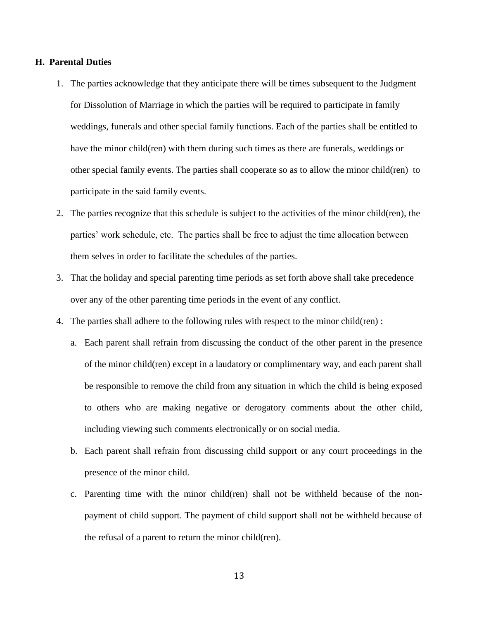## **H. Parental Duties**

- 1. The parties acknowledge that they anticipate there will be times subsequent to the Judgment for Dissolution of Marriage in which the parties will be required to participate in family weddings, funerals and other special family functions. Each of the parties shall be entitled to have the minor child(ren) with them during such times as there are funerals, weddings or other special family events. The parties shall cooperate so as to allow the minor child(ren) to participate in the said family events.
- 2. The parties recognize that this schedule is subject to the activities of the minor child(ren), the parties' work schedule, etc. The parties shall be free to adjust the time allocation between them selves in order to facilitate the schedules of the parties.
- 3. That the holiday and special parenting time periods as set forth above shall take precedence over any of the other parenting time periods in the event of any conflict.
- 4. The parties shall adhere to the following rules with respect to the minor child(ren) :
	- a. Each parent shall refrain from discussing the conduct of the other parent in the presence of the minor child(ren) except in a laudatory or complimentary way, and each parent shall be responsible to remove the child from any situation in which the child is being exposed to others who are making negative or derogatory comments about the other child, including viewing such comments electronically or on social media.
	- b. Each parent shall refrain from discussing child support or any court proceedings in the presence of the minor child.
	- c. Parenting time with the minor child(ren) shall not be withheld because of the nonpayment of child support. The payment of child support shall not be withheld because of the refusal of a parent to return the minor child(ren).

13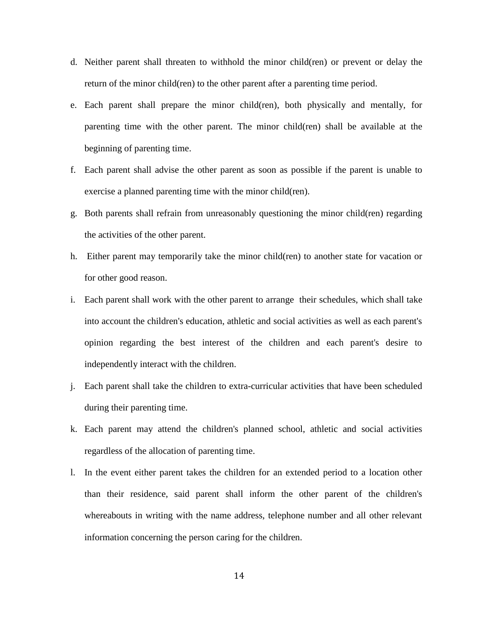- d. Neither parent shall threaten to withhold the minor child(ren) or prevent or delay the return of the minor child(ren) to the other parent after a parenting time period.
- e. Each parent shall prepare the minor child(ren), both physically and mentally, for parenting time with the other parent. The minor child(ren) shall be available at the beginning of parenting time.
- f. Each parent shall advise the other parent as soon as possible if the parent is unable to exercise a planned parenting time with the minor child(ren).
- g. Both parents shall refrain from unreasonably questioning the minor child(ren) regarding the activities of the other parent.
- h. Either parent may temporarily take the minor child(ren) to another state for vacation or for other good reason.
- i. Each parent shall work with the other parent to arrange their schedules, which shall take into account the children's education, athletic and social activities as well as each parent's opinion regarding the best interest of the children and each parent's desire to independently interact with the children.
- j. Each parent shall take the children to extra-curricular activities that have been scheduled during their parenting time.
- k. Each parent may attend the children's planned school, athletic and social activities regardless of the allocation of parenting time.
- l. In the event either parent takes the children for an extended period to a location other than their residence, said parent shall inform the other parent of the children's whereabouts in writing with the name address, telephone number and all other relevant information concerning the person caring for the children.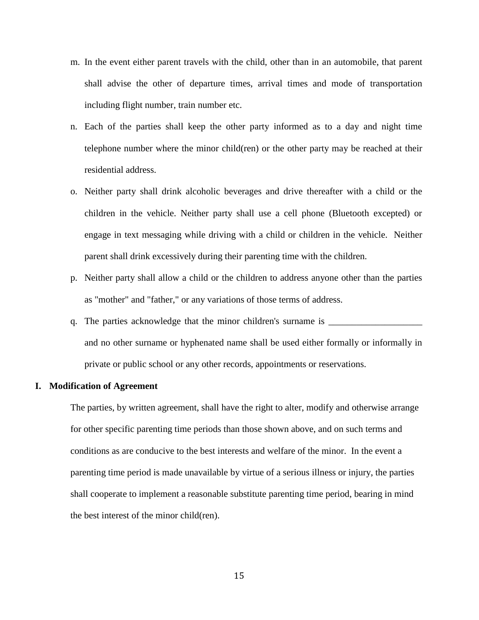- m. In the event either parent travels with the child, other than in an automobile, that parent shall advise the other of departure times, arrival times and mode of transportation including flight number, train number etc.
- n. Each of the parties shall keep the other party informed as to a day and night time telephone number where the minor child(ren) or the other party may be reached at their residential address.
- o. Neither party shall drink alcoholic beverages and drive thereafter with a child or the children in the vehicle. Neither party shall use a cell phone (Bluetooth excepted) or engage in text messaging while driving with a child or children in the vehicle. Neither parent shall drink excessively during their parenting time with the children.
- p. Neither party shall allow a child or the children to address anyone other than the parties as "mother" and "father," or any variations of those terms of address.
- q. The parties acknowledge that the minor children's surname is \_\_\_\_\_\_\_\_\_\_\_\_\_\_\_\_\_ and no other surname or hyphenated name shall be used either formally or informally in private or public school or any other records, appointments or reservations.

## **I. Modification of Agreement**

The parties, by written agreement, shall have the right to alter, modify and otherwise arrange for other specific parenting time periods than those shown above, and on such terms and conditions as are conducive to the best interests and welfare of the minor. In the event a parenting time period is made unavailable by virtue of a serious illness or injury, the parties shall cooperate to implement a reasonable substitute parenting time period, bearing in mind the best interest of the minor child(ren).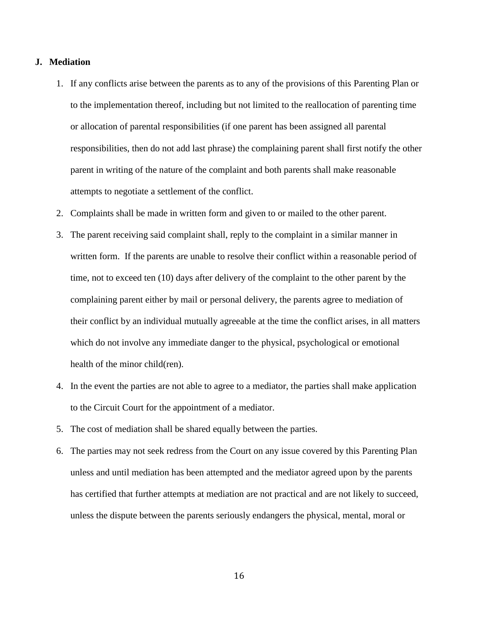## **J. Mediation**

- 1. If any conflicts arise between the parents as to any of the provisions of this Parenting Plan or to the implementation thereof, including but not limited to the reallocation of parenting time or allocation of parental responsibilities (if one parent has been assigned all parental responsibilities, then do not add last phrase) the complaining parent shall first notify the other parent in writing of the nature of the complaint and both parents shall make reasonable attempts to negotiate a settlement of the conflict.
- 2. Complaints shall be made in written form and given to or mailed to the other parent.
- 3. The parent receiving said complaint shall, reply to the complaint in a similar manner in written form. If the parents are unable to resolve their conflict within a reasonable period of time, not to exceed ten (10) days after delivery of the complaint to the other parent by the complaining parent either by mail or personal delivery, the parents agree to mediation of their conflict by an individual mutually agreeable at the time the conflict arises, in all matters which do not involve any immediate danger to the physical, psychological or emotional health of the minor child(ren).
- 4. In the event the parties are not able to agree to a mediator, the parties shall make application to the Circuit Court for the appointment of a mediator.
- 5. The cost of mediation shall be shared equally between the parties.
- 6. The parties may not seek redress from the Court on any issue covered by this Parenting Plan unless and until mediation has been attempted and the mediator agreed upon by the parents has certified that further attempts at mediation are not practical and are not likely to succeed, unless the dispute between the parents seriously endangers the physical, mental, moral or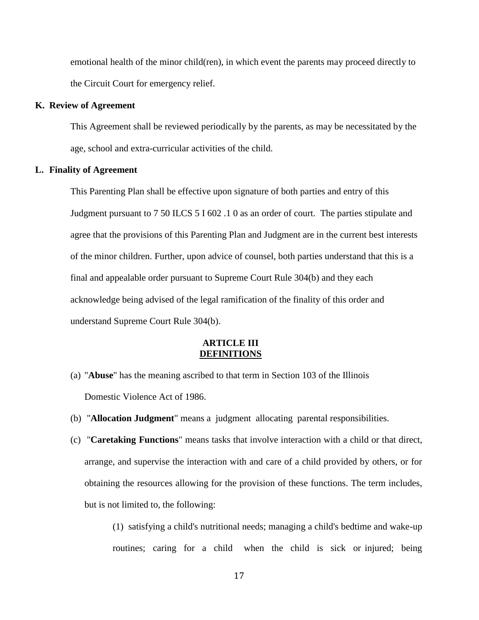emotional health of the minor child(ren), in which event the parents may proceed directly to the Circuit Court for emergency relief.

#### **K. Review of Agreement**

This Agreement shall be reviewed periodically by the parents, as may be necessitated by the age, school and extra-curricular activities of the child.

## **L. Finality of Agreement**

This Parenting Plan shall be effective upon signature of both parties and entry of this Judgment pursuant to 7 50 ILCS 5 I 602 .1 0 as an order of court. The parties stipulate and agree that the provisions of this Parenting Plan and Judgment are in the current best interests of the minor children. Further, upon advice of counsel, both parties understand that this is a final and appealable order pursuant to Supreme Court Rule 304(b) and they each acknowledge being advised of the legal ramification of the finality of this order and understand Supreme Court Rule 304(b).

# **ARTICLE III DEFINITIONS**

- (a) "**Abuse**" has the meaning ascribed to that term in Section 103 of the Illinois Domestic Violence Act of 1986.
- (b) "**Allocation Judgment**" means a judgment allocating parental responsibilities.
- (c) "**Caretaking Functions**" means tasks that involve interaction with a child or that direct, arrange, and supervise the interaction with and care of a child provided by others, or for obtaining the resources allowing for the provision of these functions. The term includes, but is not limited to, the following:

(1) satisfying a child's nutritional needs; managing a child's bedtime and wake-up routines; caring for a child when the child is sick or injured; being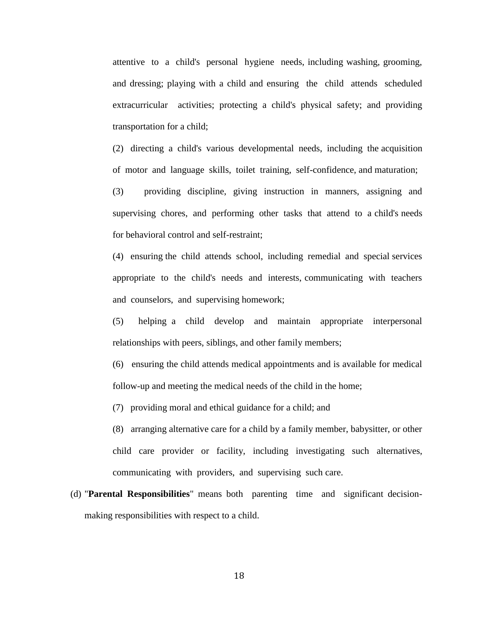attentive to a child's personal hygiene needs, including washing, grooming, and dressing; playing with a child and ensuring the child attends scheduled extracurricular activities; protecting a child's physical safety; and providing transportation for a child;

(2) directing a child's various developmental needs, including the acquisition of motor and language skills, toilet training, self-confidence, and maturation;

(3) providing discipline, giving instruction in manners, assigning and supervising chores, and performing other tasks that attend to a child's needs for behavioral control and self-restraint;

(4) ensuring the child attends school, including remedial and special services appropriate to the child's needs and interests, communicating with teachers and counselors, and supervising homework;

(5) helping a child develop and maintain appropriate interpersonal relationships with peers, siblings, and other family members;

(6) ensuring the child attends medical appointments and is available for medical follow-up and meeting the medical needs of the child in the home;

(7) providing moral and ethical guidance for a child; and

(8) arranging alternative care for a child by a family member, babysitter, or other child care provider or facility, including investigating such alternatives, communicating with providers, and supervising such care.

(d) "**Parental Responsibilities**" means both parenting time and significant decisionmaking responsibilities with respect to a child.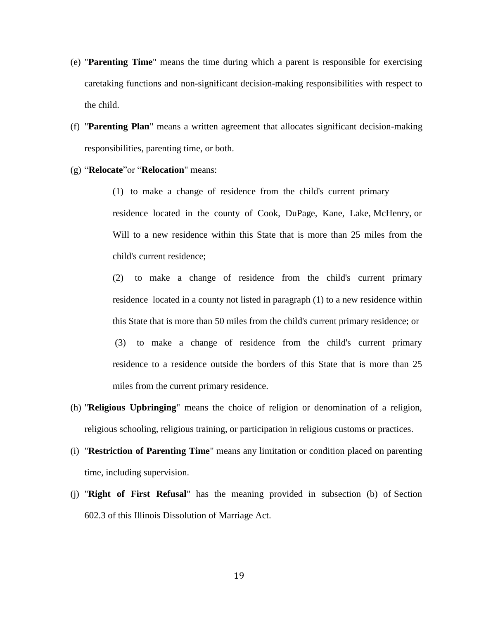- (e) "**Parenting Time**" means the time during which a parent is responsible for exercising caretaking functions and non-significant decision-making responsibilities with respect to the child.
- (f) "**Parenting Plan**" means a written agreement that allocates significant decision-making responsibilities, parenting time, or both.
- (g) "**Relocate**"or "**Relocation**" means:

(1) to make a change of residence from the child's current primary residence located in the county of Cook, DuPage, Kane, Lake, McHenry, or Will to a new residence within this State that is more than 25 miles from the child's current residence;

(2) to make a change of residence from the child's current primary residence located in a county not listed in paragraph (1) to a new residence within this State that is more than 50 miles from the child's current primary residence; or (3) to make a change of residence from the child's current primary residence to a residence outside the borders of this State that is more than 25 miles from the current primary residence.

- (h) "**Religious Upbringing**" means the choice of religion or denomination of a religion, religious schooling, religious training, or participation in religious customs or practices.
- (i) "**Restriction of Parenting Time**" means any limitation or condition placed on parenting time, including supervision.
- (j) "**Right of First Refusal**" has the meaning provided in subsection (b) of Section 602.3 of this Illinois Dissolution of Marriage Act.